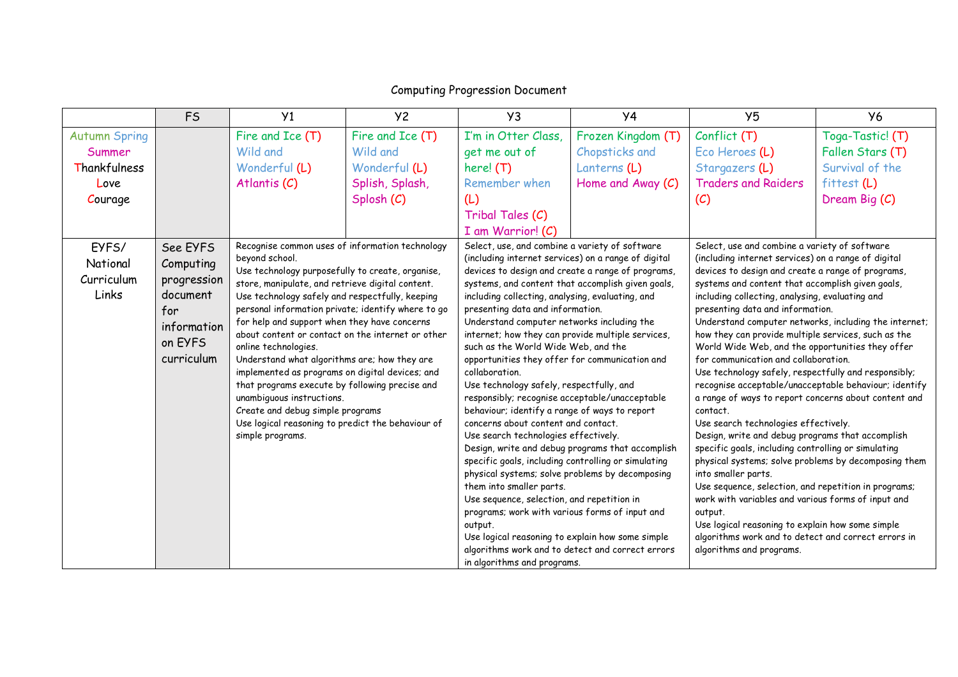|                                          | F <sub>S</sub>                                                                                  | Y <sub>1</sub>                                                                                                                                                                                                                                                                                                                                                                                                                                                                                                                                                                                                                                                                                                 | <b>Y2</b>        | Y <sub>3</sub>                                                                                                                                                                               | <b>Y4</b>                                                                                                                                                                                                                                                                                                                                                                                                                                                                                                                                                                                                                                                                                                                                                                                                                                                                                                                                                                                       | Y <sub>5</sub>             | <b>Y6</b>                                                                                                                                                                                                                                                                                                                                                                                                                                                                                                                                                                                                                                                                                                                                                                                                                                                                                                                                                                                                                                                                                                                     |
|------------------------------------------|-------------------------------------------------------------------------------------------------|----------------------------------------------------------------------------------------------------------------------------------------------------------------------------------------------------------------------------------------------------------------------------------------------------------------------------------------------------------------------------------------------------------------------------------------------------------------------------------------------------------------------------------------------------------------------------------------------------------------------------------------------------------------------------------------------------------------|------------------|----------------------------------------------------------------------------------------------------------------------------------------------------------------------------------------------|-------------------------------------------------------------------------------------------------------------------------------------------------------------------------------------------------------------------------------------------------------------------------------------------------------------------------------------------------------------------------------------------------------------------------------------------------------------------------------------------------------------------------------------------------------------------------------------------------------------------------------------------------------------------------------------------------------------------------------------------------------------------------------------------------------------------------------------------------------------------------------------------------------------------------------------------------------------------------------------------------|----------------------------|-------------------------------------------------------------------------------------------------------------------------------------------------------------------------------------------------------------------------------------------------------------------------------------------------------------------------------------------------------------------------------------------------------------------------------------------------------------------------------------------------------------------------------------------------------------------------------------------------------------------------------------------------------------------------------------------------------------------------------------------------------------------------------------------------------------------------------------------------------------------------------------------------------------------------------------------------------------------------------------------------------------------------------------------------------------------------------------------------------------------------------|
| <b>Autumn Spring</b>                     |                                                                                                 | Fire and Ice (T)                                                                                                                                                                                                                                                                                                                                                                                                                                                                                                                                                                                                                                                                                               | Fire and Ice (T) | I'm in Otter Class,                                                                                                                                                                          | Frozen Kingdom (T)                                                                                                                                                                                                                                                                                                                                                                                                                                                                                                                                                                                                                                                                                                                                                                                                                                                                                                                                                                              | Conflict (T)               | Toga-Tastic! (T)                                                                                                                                                                                                                                                                                                                                                                                                                                                                                                                                                                                                                                                                                                                                                                                                                                                                                                                                                                                                                                                                                                              |
| Summer                                   |                                                                                                 | Wild and                                                                                                                                                                                                                                                                                                                                                                                                                                                                                                                                                                                                                                                                                                       | Wild and         | get me out of                                                                                                                                                                                | Chopsticks and                                                                                                                                                                                                                                                                                                                                                                                                                                                                                                                                                                                                                                                                                                                                                                                                                                                                                                                                                                                  | Eco Heroes (L)             | Fallen Stars (T)                                                                                                                                                                                                                                                                                                                                                                                                                                                                                                                                                                                                                                                                                                                                                                                                                                                                                                                                                                                                                                                                                                              |
| Thankfulness                             |                                                                                                 | Wonderful (L)                                                                                                                                                                                                                                                                                                                                                                                                                                                                                                                                                                                                                                                                                                  | Wonderful (L)    | here! (T)                                                                                                                                                                                    | Lanterns (L)                                                                                                                                                                                                                                                                                                                                                                                                                                                                                                                                                                                                                                                                                                                                                                                                                                                                                                                                                                                    | Stargazers (L)             | Survival of the                                                                                                                                                                                                                                                                                                                                                                                                                                                                                                                                                                                                                                                                                                                                                                                                                                                                                                                                                                                                                                                                                                               |
| Love                                     |                                                                                                 | Atlantis (C)                                                                                                                                                                                                                                                                                                                                                                                                                                                                                                                                                                                                                                                                                                   | Splish, Splash,  | Remember when                                                                                                                                                                                | Home and Away (C)                                                                                                                                                                                                                                                                                                                                                                                                                                                                                                                                                                                                                                                                                                                                                                                                                                                                                                                                                                               | <b>Traders and Raiders</b> | fittest (L)                                                                                                                                                                                                                                                                                                                                                                                                                                                                                                                                                                                                                                                                                                                                                                                                                                                                                                                                                                                                                                                                                                                   |
| Courage                                  |                                                                                                 |                                                                                                                                                                                                                                                                                                                                                                                                                                                                                                                                                                                                                                                                                                                | Splosh (C)       | (L)                                                                                                                                                                                          |                                                                                                                                                                                                                                                                                                                                                                                                                                                                                                                                                                                                                                                                                                                                                                                                                                                                                                                                                                                                 | (C)                        | Dream Big (C)                                                                                                                                                                                                                                                                                                                                                                                                                                                                                                                                                                                                                                                                                                                                                                                                                                                                                                                                                                                                                                                                                                                 |
|                                          |                                                                                                 |                                                                                                                                                                                                                                                                                                                                                                                                                                                                                                                                                                                                                                                                                                                |                  | Tribal Tales (C)                                                                                                                                                                             |                                                                                                                                                                                                                                                                                                                                                                                                                                                                                                                                                                                                                                                                                                                                                                                                                                                                                                                                                                                                 |                            |                                                                                                                                                                                                                                                                                                                                                                                                                                                                                                                                                                                                                                                                                                                                                                                                                                                                                                                                                                                                                                                                                                                               |
|                                          |                                                                                                 |                                                                                                                                                                                                                                                                                                                                                                                                                                                                                                                                                                                                                                                                                                                |                  | I am Warrior! (C)                                                                                                                                                                            |                                                                                                                                                                                                                                                                                                                                                                                                                                                                                                                                                                                                                                                                                                                                                                                                                                                                                                                                                                                                 |                            |                                                                                                                                                                                                                                                                                                                                                                                                                                                                                                                                                                                                                                                                                                                                                                                                                                                                                                                                                                                                                                                                                                                               |
| EYFS/<br>National<br>Curriculum<br>Links | See EYFS<br>Computing<br>progression<br>document<br>for<br>information<br>on EYFS<br>curriculum | Recognise common uses of information technology<br>beyond school.<br>Use technology purposefully to create, organise,<br>store, manipulate, and retrieve digital content.<br>Use technology safely and respectfully, keeping<br>personal information private; identify where to go<br>for help and support when they have concerns<br>about content or contact on the internet or other<br>online technologies.<br>Understand what algorithms are; how they are<br>implemented as programs on digital devices; and<br>that programs execute by following precise and<br>unambiquous instructions.<br>Create and debug simple programs<br>Use logical reasoning to predict the behaviour of<br>simple programs. |                  | collaboration.<br>them into smaller parts.<br>output.<br>Use logical reasoning to explain how some simple<br>algorithms work and to detect and correct errors<br>in algorithms and programs. | Select, use, and combine a variety of software<br>(including internet services) on a range of digital<br>devices to design and create a range of programs,<br>systems, and content that accomplish given goals,<br>including collecting, analysing, evaluating, and<br>presenting data and information.<br>Understand computer networks including the<br>internet; how they can provide multiple services,<br>such as the World Wide Web, and the<br>opportunities they offer for communication and<br>Use technology safely, respectfully, and<br>responsibly; recognise acceptable/unacceptable<br>behaviour; identify a range of ways to report<br>concerns about content and contact.<br>Use search technologies effectively.<br>Design, write and debug programs that accomplish<br>specific goals, including controlling or simulating<br>physical systems; solve problems by decomposing<br>Use sequence, selection, and repetition in<br>programs; work with various forms of input and |                            | Select, use and combine a variety of software<br>(including internet services) on a range of digital<br>devices to design and create a range of programs,<br>systems and content that accomplish given goals,<br>including collecting, analysing, evaluating and<br>presenting data and information.<br>Understand computer networks, including the internet;<br>how they can provide multiple services, such as the<br>World Wide Web, and the opportunities they offer<br>for communication and collaboration.<br>Use technology safely, respectfully and responsibly;<br>recognise acceptable/unacceptable behaviour; identify<br>a range of ways to report concerns about content and<br>Use search technologies effectively.<br>Design, write and debug programs that accomplish<br>specific goals, including controlling or simulating<br>physical systems; solve problems by decomposing them<br>Use sequence, selection, and repetition in programs;<br>work with variables and various forms of input and<br>Use logical reasoning to explain how some simple<br>algorithms work and to detect and correct errors in |

## Computing Progression Document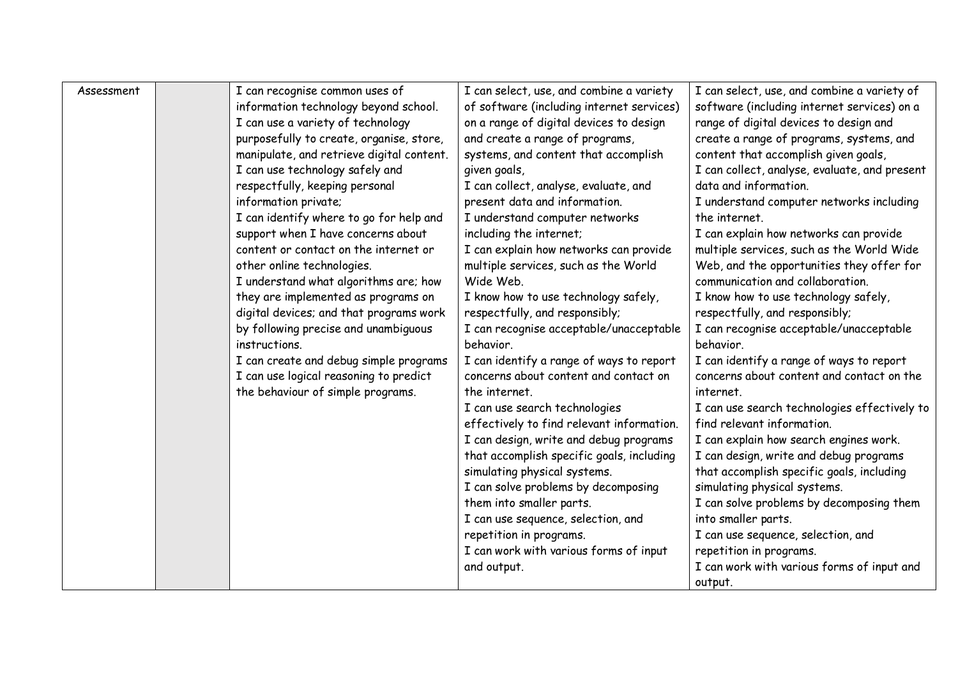| Assessment | I can recognise common uses of            | I can select, use, and combine a variety  | I can select, use, and combine a variety of   |
|------------|-------------------------------------------|-------------------------------------------|-----------------------------------------------|
|            | information technology beyond school.     | of software (including internet services) | software (including internet services) on a   |
|            | I can use a variety of technology         | on a range of digital devices to design   | range of digital devices to design and        |
|            | purposefully to create, organise, store,  | and create a range of programs,           | create a range of programs, systems, and      |
|            | manipulate, and retrieve digital content. | systems, and content that accomplish      | content that accomplish given goals,          |
|            | I can use technology safely and           | given goals,                              | I can collect, analyse, evaluate, and present |
|            | respectfully, keeping personal            | I can collect, analyse, evaluate, and     | data and information.                         |
|            | information private;                      | present data and information.             | I understand computer networks including      |
|            | I can identify where to go for help and   | I understand computer networks            | the internet.                                 |
|            | support when I have concerns about        | including the internet;                   | I can explain how networks can provide        |
|            | content or contact on the internet or     | I can explain how networks can provide    | multiple services, such as the World Wide     |
|            | other online technologies.                | multiple services, such as the World      | Web, and the opportunities they offer for     |
|            | I understand what algorithms are; how     | Wide Web.                                 | communication and collaboration.              |
|            | they are implemented as programs on       | I know how to use technology safely,      | I know how to use technology safely,          |
|            | digital devices; and that programs work   | respectfully, and responsibly;            | respectfully, and responsibly;                |
|            | by following precise and unambiguous      | I can recognise acceptable/unacceptable   | I can recognise acceptable/unacceptable       |
|            | instructions.                             | behavior.                                 | behavior.                                     |
|            | I can create and debug simple programs    | I can identify a range of ways to report  | I can identify a range of ways to report      |
|            | I can use logical reasoning to predict    | concerns about content and contact on     | concerns about content and contact on the     |
|            | the behaviour of simple programs.         | the internet.                             | internet.                                     |
|            |                                           | I can use search technologies             | I can use search technologies effectively to  |
|            |                                           | effectively to find relevant information. | find relevant information.                    |
|            |                                           | I can design, write and debug programs    | I can explain how search engines work.        |
|            |                                           | that accomplish specific goals, including | I can design, write and debug programs        |
|            |                                           | simulating physical systems.              | that accomplish specific goals, including     |
|            |                                           | I can solve problems by decomposing       | simulating physical systems.                  |
|            |                                           | them into smaller parts.                  | I can solve problems by decomposing them      |
|            |                                           | I can use sequence, selection, and        | into smaller parts.                           |
|            |                                           | repetition in programs.                   | I can use sequence, selection, and            |
|            |                                           | I can work with various forms of input    | repetition in programs.                       |
|            |                                           | and output.                               | I can work with various forms of input and    |
|            |                                           |                                           | output.                                       |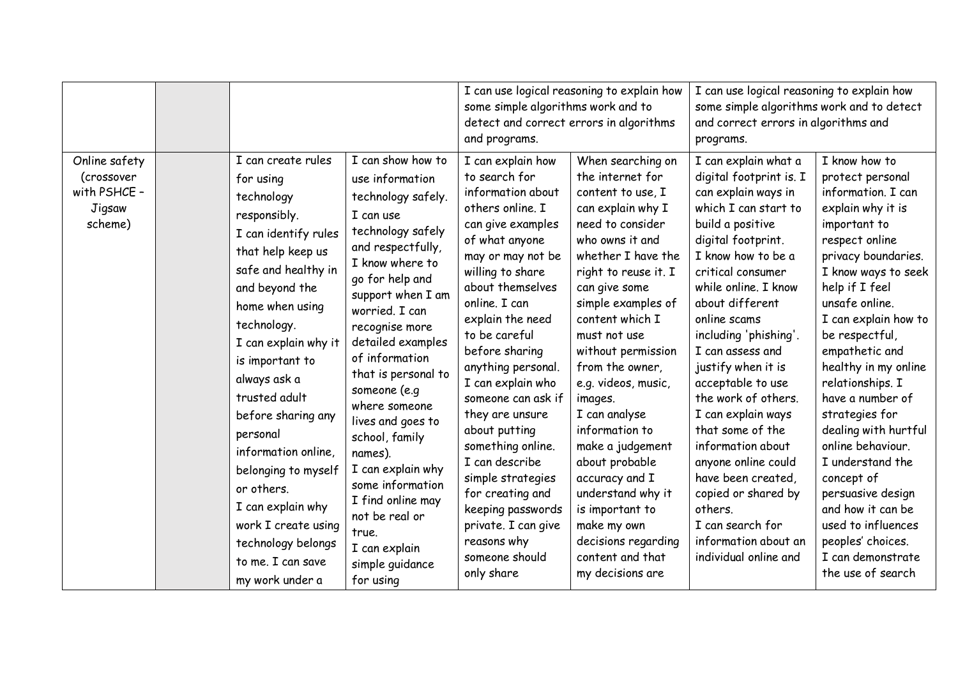|                                                                  |                                                                                                                                                                                                                                                                                                                                                                                                                                                        |                                                                                                                                                                                                                                                                                                                                                                                                                                                                                                | some simple algorithms work and to<br>detect and correct errors in algorithms<br>and programs.                                                                                                                                                                                                                                                                                                                                                                                                                                          | I can use logical reasoning to explain how                                                                                                                                                                                                                                                                                                                                                                                                                                                                                                 | I can use logical reasoning to explain how<br>some simple algorithms work and to detect<br>and correct errors in algorithms and<br>programs.                                                                                                                                                                                                                                                                                                                                                                                                                                     |                                                                                                                                                                                                                                                                                                                                                                                                                                                                                                                                                              |
|------------------------------------------------------------------|--------------------------------------------------------------------------------------------------------------------------------------------------------------------------------------------------------------------------------------------------------------------------------------------------------------------------------------------------------------------------------------------------------------------------------------------------------|------------------------------------------------------------------------------------------------------------------------------------------------------------------------------------------------------------------------------------------------------------------------------------------------------------------------------------------------------------------------------------------------------------------------------------------------------------------------------------------------|-----------------------------------------------------------------------------------------------------------------------------------------------------------------------------------------------------------------------------------------------------------------------------------------------------------------------------------------------------------------------------------------------------------------------------------------------------------------------------------------------------------------------------------------|--------------------------------------------------------------------------------------------------------------------------------------------------------------------------------------------------------------------------------------------------------------------------------------------------------------------------------------------------------------------------------------------------------------------------------------------------------------------------------------------------------------------------------------------|----------------------------------------------------------------------------------------------------------------------------------------------------------------------------------------------------------------------------------------------------------------------------------------------------------------------------------------------------------------------------------------------------------------------------------------------------------------------------------------------------------------------------------------------------------------------------------|--------------------------------------------------------------------------------------------------------------------------------------------------------------------------------------------------------------------------------------------------------------------------------------------------------------------------------------------------------------------------------------------------------------------------------------------------------------------------------------------------------------------------------------------------------------|
| Online safety<br>(crossover<br>with PSHCE -<br>Jigsaw<br>scheme) | I can create rules<br>for using<br>technology<br>responsibly.<br>I can identify rules<br>that help keep us<br>safe and healthy in<br>and beyond the<br>home when using<br>technology.<br>I can explain why it<br>is important to<br>always ask a<br>trusted adult<br>before sharing any<br>personal<br>information online,<br>belonging to myself<br>or others.<br>I can explain why<br>work I create using<br>technology belongs<br>to me. I can save | I can show how to<br>use information<br>technology safely.<br>I can use<br>technology safely<br>and respectfully,<br>I know where to<br>go for help and<br>support when I am<br>worried. I can<br>recognise more<br>detailed examples<br>of information<br>that is personal to<br>someone (e.g<br>where someone<br>lives and goes to<br>school, family<br>names).<br>I can explain why<br>some information<br>I find online may<br>not be real or<br>true.<br>I can explain<br>simple guidance | I can explain how<br>to search for<br>information about<br>others online. I<br>can give examples<br>of what anyone<br>may or may not be<br>willing to share<br>about themselves<br>online. I can<br>explain the need<br>to be careful<br>before sharing<br>anything personal.<br>I can explain who<br>someone can ask if<br>they are unsure<br>about putting<br>something online.<br>I can describe<br>simple strategies<br>for creating and<br>keeping passwords<br>private. I can give<br>reasons why<br>someone should<br>only share | When searching on<br>the internet for<br>content to use, I<br>can explain why I<br>need to consider<br>who owns it and<br>whether I have the<br>right to reuse it. I<br>can give some<br>simple examples of<br>content which I<br>must not use<br>without permission<br>from the owner,<br>e.g. videos, music,<br>images.<br>I can analyse<br>information to<br>make a judgement<br>about probable<br>accuracy and I<br>understand why it<br>is important to<br>make my own<br>decisions regarding<br>content and that<br>my decisions are | I can explain what a<br>digital footprint is. I<br>can explain ways in<br>which I can start to<br>build a positive<br>digital footprint.<br>I know how to be a<br>critical consumer<br>while online. I know<br>about different<br>online scams<br>including 'phishing'.<br>I can assess and<br>justify when it is<br>acceptable to use<br>the work of others.<br>I can explain ways<br>that some of the<br>information about<br>anyone online could<br>have been created,<br>copied or shared by<br>others.<br>I can search for<br>information about an<br>individual online and | I know how to<br>protect personal<br>information. I can<br>explain why it is<br>important to<br>respect online<br>privacy boundaries.<br>I know ways to seek<br>help if I feel<br>unsafe online.<br>I can explain how to<br>be respectful,<br>empathetic and<br>healthy in my online<br>relationships. I<br>have a number of<br>strategies for<br>dealing with hurtful<br>online behaviour.<br>I understand the<br>concept of<br>persuasive design<br>and how it can be<br>used to influences<br>peoples' choices.<br>I can demonstrate<br>the use of search |
|                                                                  | my work under a                                                                                                                                                                                                                                                                                                                                                                                                                                        | for using                                                                                                                                                                                                                                                                                                                                                                                                                                                                                      |                                                                                                                                                                                                                                                                                                                                                                                                                                                                                                                                         |                                                                                                                                                                                                                                                                                                                                                                                                                                                                                                                                            |                                                                                                                                                                                                                                                                                                                                                                                                                                                                                                                                                                                  |                                                                                                                                                                                                                                                                                                                                                                                                                                                                                                                                                              |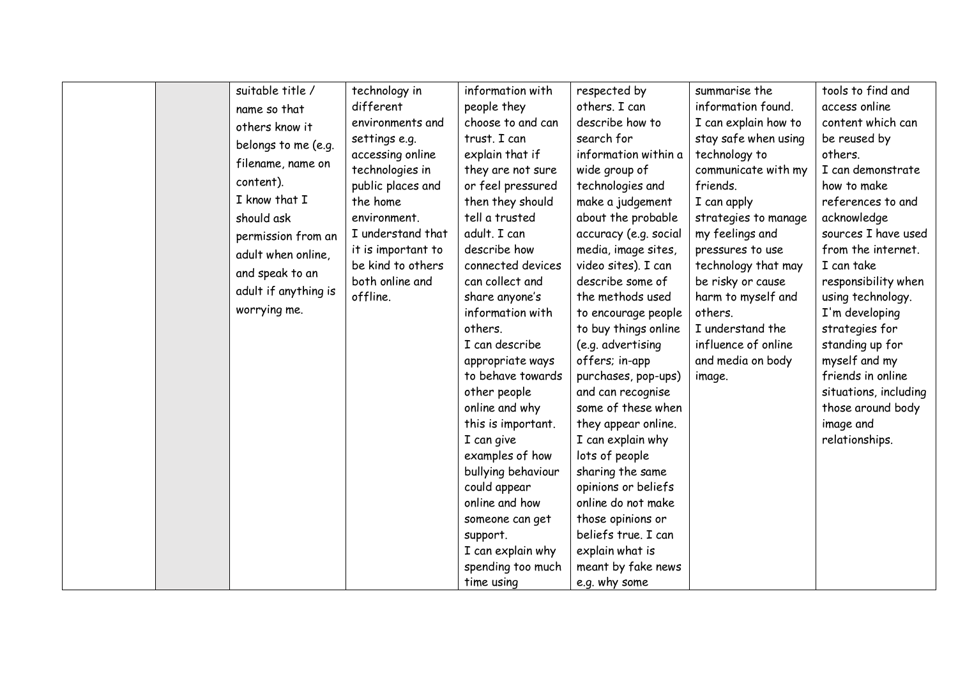|  | suitable title /     | technology in      | information with   | respected by          | summarise the        | tools to find and     |
|--|----------------------|--------------------|--------------------|-----------------------|----------------------|-----------------------|
|  | name so that         | different          | people they        | others. I can         | information found.   | access online         |
|  | others know it       | environments and   | choose to and can  | describe how to       | I can explain how to | content which can     |
|  | belongs to me (e.g.  | settings e.g.      | trust. I can       | search for            | stay safe when using | be reused by          |
|  |                      | accessing online   | explain that if    | information within a  | technology to        | others.               |
|  | filename, name on    | technologies in    | they are not sure  | wide group of         | communicate with my  | I can demonstrate     |
|  | content).            | public places and  | or feel pressured  | technologies and      | friends.             | how to make           |
|  | I know that I        | the home           | then they should   | make a judgement      | I can apply          | references to and     |
|  | should ask           | environment.       | tell a trusted     | about the probable    | strategies to manage | acknowledge           |
|  | permission from an   | I understand that  | adult. I can       | accuracy (e.g. social | my feelings and      | sources I have used   |
|  | adult when online,   | it is important to | describe how       | media, image sites,   | pressures to use     | from the internet.    |
|  | and speak to an      | be kind to others  | connected devices  | video sites). I can   | technology that may  | I can take            |
|  |                      | both online and    | can collect and    | describe some of      | be risky or cause    | responsibility when   |
|  | adult if anything is | offline.           | share anyone's     | the methods used      | harm to myself and   | using technology.     |
|  | worrying me.         |                    | information with   | to encourage people   | others.              | I'm developing        |
|  |                      |                    | others.            | to buy things online  | I understand the     | strategies for        |
|  |                      |                    | I can describe     | (e.g. advertising     | influence of online  | standing up for       |
|  |                      |                    | appropriate ways   | offers; in-app        | and media on body    | myself and my         |
|  |                      |                    | to behave towards  | purchases, pop-ups)   | image.               | friends in online     |
|  |                      |                    | other people       | and can recognise     |                      | situations, including |
|  |                      |                    | online and why     | some of these when    |                      | those around body     |
|  |                      |                    | this is important. | they appear online.   |                      | image and             |
|  |                      |                    | I can give         | I can explain why     |                      | relationships.        |
|  |                      |                    | examples of how    | lots of people        |                      |                       |
|  |                      |                    | bullying behaviour | sharing the same      |                      |                       |
|  |                      |                    | could appear       | opinions or beliefs   |                      |                       |
|  |                      |                    | online and how     | online do not make    |                      |                       |
|  |                      |                    | someone can get    | those opinions or     |                      |                       |
|  |                      |                    | support.           | beliefs true. I can   |                      |                       |
|  |                      |                    | I can explain why  | explain what is       |                      |                       |
|  |                      |                    | spending too much  | meant by fake news    |                      |                       |
|  |                      |                    | time using         | e.g. why some         |                      |                       |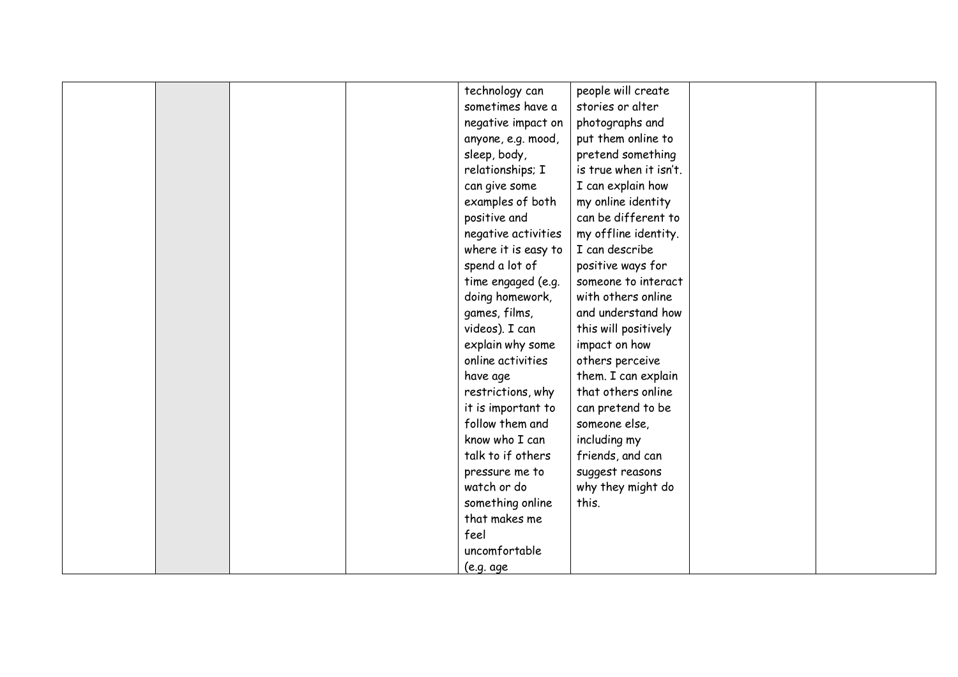|  |  | technology can      | people will create     |  |
|--|--|---------------------|------------------------|--|
|  |  | sometimes have a    | stories or alter       |  |
|  |  | negative impact on  | photographs and        |  |
|  |  | anyone, e.g. mood,  | put them online to     |  |
|  |  | sleep, body,        | pretend something      |  |
|  |  | relationships; I    | is true when it isn't. |  |
|  |  | can give some       | I can explain how      |  |
|  |  | examples of both    | my online identity     |  |
|  |  | positive and        | can be different to    |  |
|  |  | negative activities | my offline identity.   |  |
|  |  | where it is easy to | I can describe         |  |
|  |  | spend a lot of      | positive ways for      |  |
|  |  | time engaged (e.g.  | someone to interact    |  |
|  |  | doing homework,     | with others online     |  |
|  |  | games, films,       | and understand how     |  |
|  |  | videos). I can      | this will positively   |  |
|  |  | explain why some    | impact on how          |  |
|  |  | online activities   | others perceive        |  |
|  |  | have age            | them. I can explain    |  |
|  |  | restrictions, why   | that others online     |  |
|  |  | it is important to  | can pretend to be      |  |
|  |  | follow them and     | someone else,          |  |
|  |  | know who I can      | including my           |  |
|  |  | talk to if others   | friends, and can       |  |
|  |  | pressure me to      | suggest reasons        |  |
|  |  | watch or do         | why they might do      |  |
|  |  | something online    | this.                  |  |
|  |  | that makes me       |                        |  |
|  |  | feel                |                        |  |
|  |  | uncomfortable       |                        |  |
|  |  | (e.g. age           |                        |  |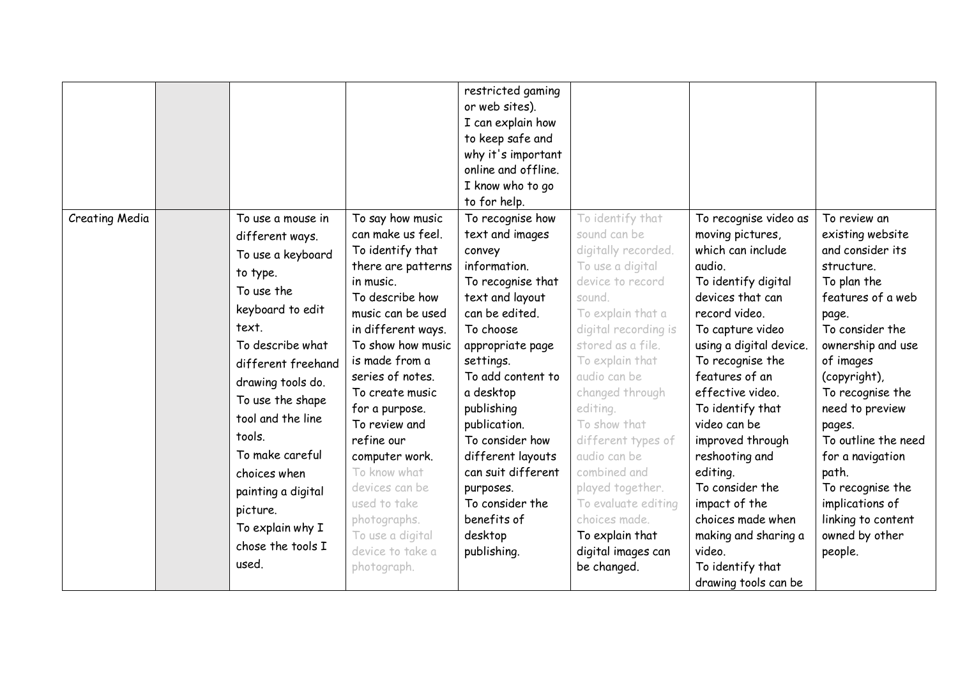|                       |                    |                    | restricted gaming   |                      |                         |                     |
|-----------------------|--------------------|--------------------|---------------------|----------------------|-------------------------|---------------------|
|                       |                    |                    | or web sites).      |                      |                         |                     |
|                       |                    |                    | I can explain how   |                      |                         |                     |
|                       |                    |                    | to keep safe and    |                      |                         |                     |
|                       |                    |                    | why it's important  |                      |                         |                     |
|                       |                    |                    | online and offline. |                      |                         |                     |
|                       |                    |                    | I know who to go    |                      |                         |                     |
|                       |                    |                    | to for help.        |                      |                         |                     |
| <b>Creating Media</b> | To use a mouse in  | To say how music   | To recognise how    | To identify that     | To recognise video as   | To review an        |
|                       | different ways.    | can make us feel.  | text and images     | sound can be         | moving pictures,        | existing website    |
|                       | To use a keyboard  | To identify that   | convey              | digitally recorded.  | which can include       | and consider its    |
|                       |                    | there are patterns | information.        | To use a digital     | audio.                  | structure.          |
|                       | to type.           | in music.          | To recognise that   | device to record     | To identify digital     | To plan the         |
|                       | To use the         | To describe how    | text and layout     | sound.               | devices that can        | features of a web   |
|                       | keyboard to edit   | music can be used  | can be edited.      | To explain that a    | record video.           | page.               |
|                       | text.              | in different ways. | To choose           | digital recording is | To capture video        | To consider the     |
|                       | To describe what   | To show how music  | appropriate page    | stored as a file.    | using a digital device. | ownership and use   |
|                       | different freehand | is made from a     | settings.           | To explain that      | To recognise the        | of images           |
|                       | drawing tools do.  | series of notes.   | To add content to   | audio can be         | features of an          | (copyright),        |
|                       | To use the shape   | To create music    | a desktop           | changed through      | effective video.        | To recognise the    |
|                       | tool and the line  | for a purpose.     | publishing          | editing.             | To identify that        | need to preview     |
|                       |                    | To review and      | publication.        | To show that         | video can be            | pages.              |
|                       | tools.             | refine our         | To consider how     | different types of   | improved through        | To outline the need |
|                       | To make careful    | computer work.     | different layouts   | audio can be         | reshooting and          | for a navigation    |
|                       | choices when       | To know what       | can suit different  | combined and         | editing.                | path.               |
|                       | painting a digital | devices can be     | purposes.           | played together.     | To consider the         | To recognise the    |
|                       | picture.           | used to take       | To consider the     | To evaluate editing  | impact of the           | implications of     |
|                       | To explain why I   | photographs.       | benefits of         | choices made.        | choices made when       | linking to content  |
|                       | chose the tools I  | To use a digital   | desktop             | To explain that      | making and sharing a    | owned by other      |
|                       | used.              | device to take a   | publishing.         | digital images can   | video.                  | people.             |
|                       |                    | photograph.        |                     | be changed.          | To identify that        |                     |
|                       |                    |                    |                     |                      | drawing tools can be    |                     |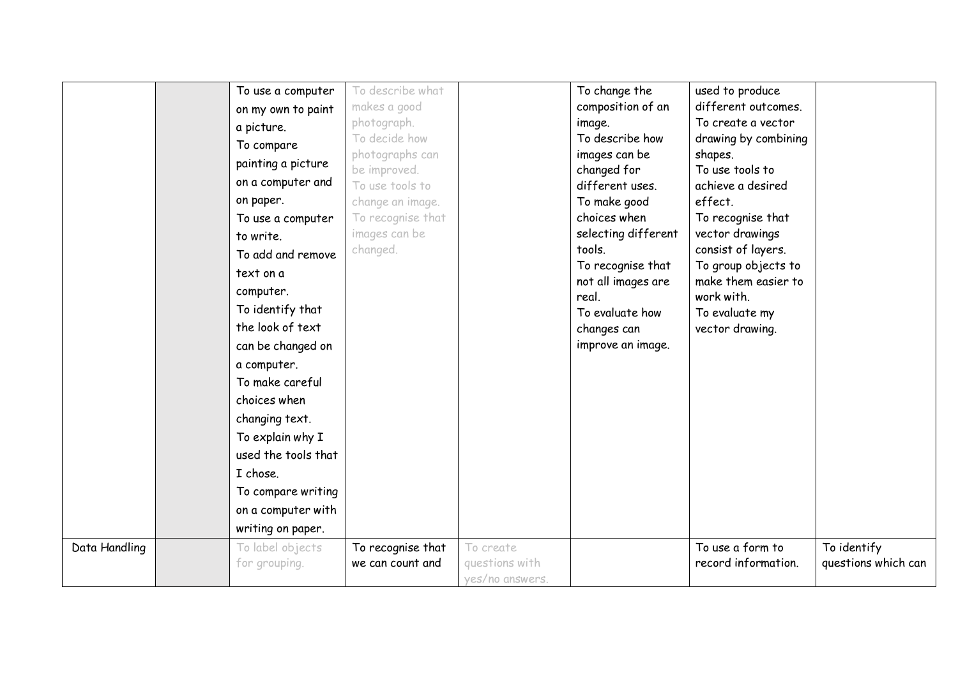|               | To use a computer   | To describe what  |                 | To change the               | used to produce                   |                     |
|---------------|---------------------|-------------------|-----------------|-----------------------------|-----------------------------------|---------------------|
|               | on my own to paint  | makes a good      |                 | composition of an           | different outcomes.               |                     |
|               | a picture.          | photograph.       |                 | image.                      | To create a vector                |                     |
|               | To compare          | To decide how     |                 | To describe how             | drawing by combining              |                     |
|               | painting a picture  | photographs can   |                 | images can be               | shapes.                           |                     |
|               |                     | be improved.      |                 | changed for                 | To use tools to                   |                     |
|               | on a computer and   | To use tools to   |                 | different uses.             | achieve a desired                 |                     |
|               | on paper.           | change an image.  |                 | To make good                | effect.                           |                     |
|               | To use a computer   | To recognise that |                 | choices when                | To recognise that                 |                     |
|               | to write.           | images can be     |                 | selecting different         | vector drawings                   |                     |
|               | To add and remove   | changed.          |                 | tools.                      | consist of layers.                |                     |
|               | text on a           |                   |                 | To recognise that           | To group objects to               |                     |
|               | computer.           |                   |                 | not all images are<br>real. | make them easier to<br>work with. |                     |
|               | To identify that    |                   |                 | To evaluate how             | To evaluate my                    |                     |
|               | the look of text    |                   |                 | changes can                 | vector drawing.                   |                     |
|               | can be changed on   |                   |                 | improve an image.           |                                   |                     |
|               | a computer.         |                   |                 |                             |                                   |                     |
|               | To make careful     |                   |                 |                             |                                   |                     |
|               | choices when        |                   |                 |                             |                                   |                     |
|               |                     |                   |                 |                             |                                   |                     |
|               | changing text.      |                   |                 |                             |                                   |                     |
|               | To explain why I    |                   |                 |                             |                                   |                     |
|               | used the tools that |                   |                 |                             |                                   |                     |
|               | I chose.            |                   |                 |                             |                                   |                     |
|               | To compare writing  |                   |                 |                             |                                   |                     |
|               | on a computer with  |                   |                 |                             |                                   |                     |
|               | writing on paper.   |                   |                 |                             |                                   |                     |
| Data Handling | To label objects    | To recognise that | To create       |                             | To use a form to                  | To identify         |
|               | for grouping.       | we can count and  | questions with  |                             | record information.               | questions which can |
|               |                     |                   | yes/no answers. |                             |                                   |                     |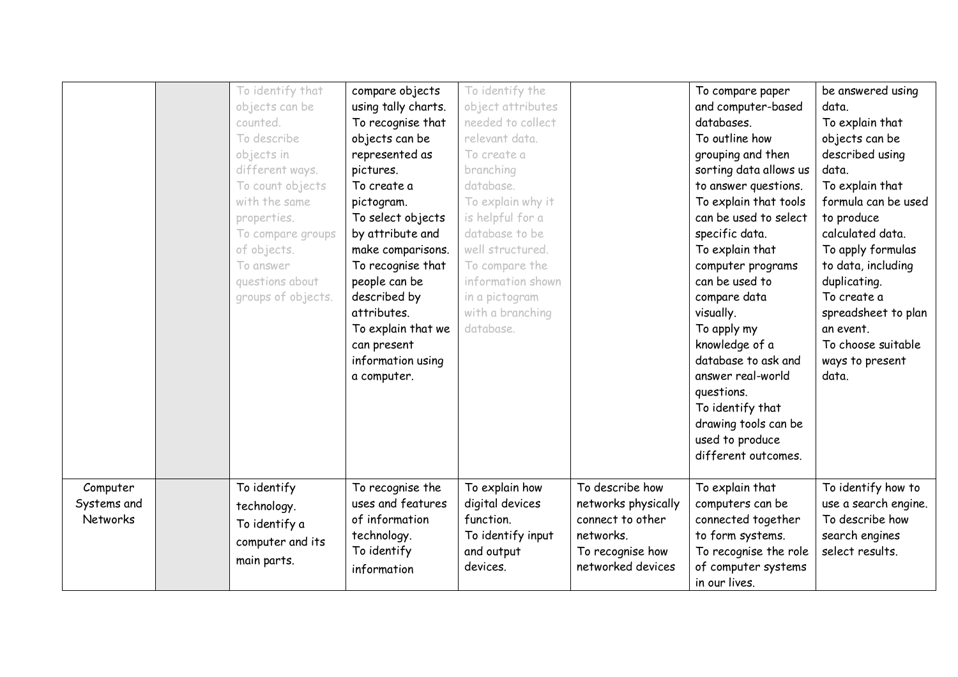|                                     | objects can be<br>counted.<br>To describe<br>objects in<br>different ways.<br>To count objects<br>with the same<br>properties.<br>To compare groups<br>of objects.<br>To answer<br>questions about<br>groups of objects. | compare objects<br>using tally charts.<br>To recognise that<br>objects can be<br>represented as<br>pictures.<br>To create a<br>pictogram.<br>To select objects<br>by attribute and<br>make comparisons.<br>To recognise that<br>people can be<br>described by<br>attributes.<br>To explain that we<br>can present<br>information using<br>a computer. | To identify the<br>object attributes<br>needed to collect<br>relevant data.<br>To create a<br>branching<br>database.<br>To explain why it<br>is helpful for a<br>database to be<br>well structured.<br>To compare the<br>information shown<br>in a pictogram<br>with a branching<br>database. |                                                                                                                  | To compare paper<br>and computer-based<br>databases.<br>To outline how<br>grouping and then<br>sorting data allows us<br>to answer questions.<br>To explain that tools<br>can be used to select<br>specific data.<br>To explain that<br>computer programs<br>can be used to<br>compare data<br>visually.<br>To apply my<br>knowledge of a<br>database to ask and<br>answer real-world<br>questions. | be answered using<br>data.<br>To explain that<br>objects can be<br>described using<br>data.<br>To explain that<br>formula can be used<br>to produce<br>calculated data.<br>To apply formulas<br>to data, including<br>duplicating.<br>To create a<br>spreadsheet to plan<br>an event.<br>To choose suitable<br>ways to present<br>data. |
|-------------------------------------|--------------------------------------------------------------------------------------------------------------------------------------------------------------------------------------------------------------------------|-------------------------------------------------------------------------------------------------------------------------------------------------------------------------------------------------------------------------------------------------------------------------------------------------------------------------------------------------------|-----------------------------------------------------------------------------------------------------------------------------------------------------------------------------------------------------------------------------------------------------------------------------------------------|------------------------------------------------------------------------------------------------------------------|-----------------------------------------------------------------------------------------------------------------------------------------------------------------------------------------------------------------------------------------------------------------------------------------------------------------------------------------------------------------------------------------------------|-----------------------------------------------------------------------------------------------------------------------------------------------------------------------------------------------------------------------------------------------------------------------------------------------------------------------------------------|
| Computer<br>Systems and<br>Networks | To identify<br>technology.<br>To identify a<br>computer and its<br>main parts.                                                                                                                                           | To recognise the<br>uses and features<br>of information<br>technology.<br>To identify<br>information                                                                                                                                                                                                                                                  | To explain how<br>digital devices<br>function.<br>To identify input<br>and output<br>devices.                                                                                                                                                                                                 | To describe how<br>networks physically<br>connect to other<br>networks.<br>To recognise how<br>networked devices | To identify that<br>drawing tools can be<br>used to produce<br>different outcomes.<br>To explain that<br>computers can be<br>connected together<br>to form systems.<br>To recognise the role<br>of computer systems                                                                                                                                                                                 | To identify how to<br>use a search engine.<br>To describe how<br>search engines<br>select results.                                                                                                                                                                                                                                      |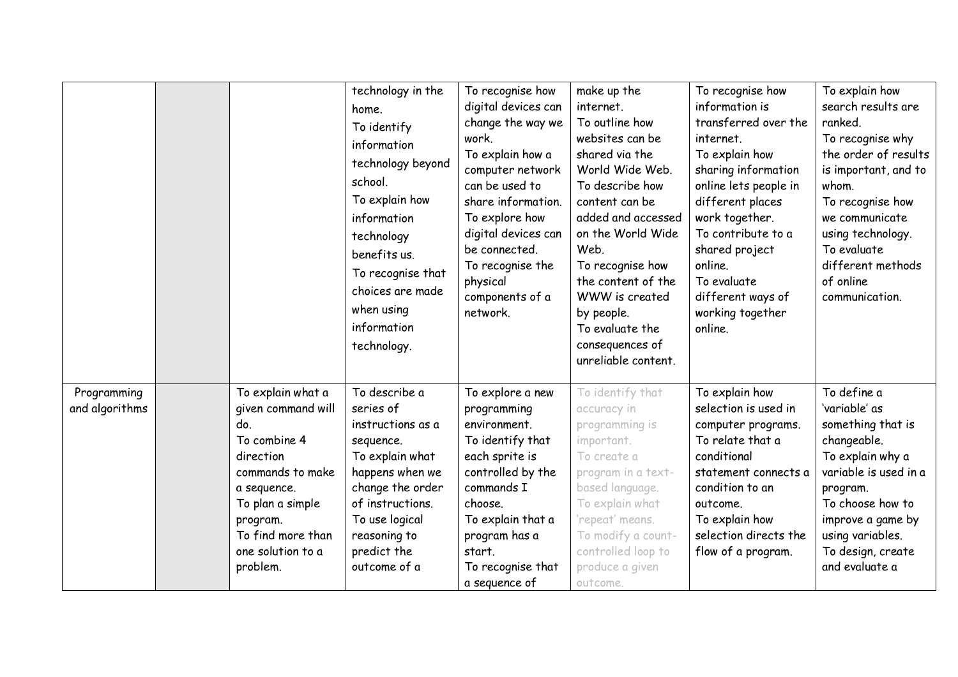|                               |                                         | technology in the<br>home.<br>To identify<br>information<br>technology beyond<br>school.<br>To explain how<br>information<br>technology<br>benefits us.<br>To recognise that<br>choices are made<br>when using<br>information<br>technology. | To recognise how<br>digital devices can<br>change the way we<br>work.<br>To explain how a<br>computer network<br>can be used to<br>share information.<br>To explore how<br>digital devices can<br>be connected.<br>To recognise the<br>physical<br>components of a<br>network. | make up the<br>internet.<br>To outline how<br>websites can be<br>shared via the<br>World Wide Web.<br>To describe how<br>content can be<br>added and accessed<br>on the World Wide<br>Web.<br>To recognise how<br>the content of the<br>WWW is created<br>by people.<br>To evaluate the<br>consequences of<br>unreliable content. | To recognise how<br>information is<br>transferred over the<br>internet.<br>To explain how<br>sharing information<br>online lets people in<br>different places<br>work together.<br>To contribute to a<br>shared project<br>online.<br>To evaluate<br>different ways of<br>working together<br>online. | To explain how<br>search results are<br>ranked.<br>To recognise why<br>the order of results<br>is important, and to<br>whom.<br>To recognise how<br>we communicate<br>using technology.<br>To evaluate<br>different methods<br>of online<br>communication. |
|-------------------------------|-----------------------------------------|----------------------------------------------------------------------------------------------------------------------------------------------------------------------------------------------------------------------------------------------|--------------------------------------------------------------------------------------------------------------------------------------------------------------------------------------------------------------------------------------------------------------------------------|-----------------------------------------------------------------------------------------------------------------------------------------------------------------------------------------------------------------------------------------------------------------------------------------------------------------------------------|-------------------------------------------------------------------------------------------------------------------------------------------------------------------------------------------------------------------------------------------------------------------------------------------------------|------------------------------------------------------------------------------------------------------------------------------------------------------------------------------------------------------------------------------------------------------------|
| Programming<br>and algorithms | To explain what a<br>given command will | To describe a<br>series of                                                                                                                                                                                                                   | To explore a new<br>programming                                                                                                                                                                                                                                                | To identify that<br>accuracy in                                                                                                                                                                                                                                                                                                   | To explain how<br>selection is used in                                                                                                                                                                                                                                                                | To define a<br>'variable' as                                                                                                                                                                                                                               |
|                               | do.                                     | instructions as a                                                                                                                                                                                                                            | environment.                                                                                                                                                                                                                                                                   | programming is                                                                                                                                                                                                                                                                                                                    | computer programs.                                                                                                                                                                                                                                                                                    | something that is                                                                                                                                                                                                                                          |
|                               | To combine 4                            | sequence.                                                                                                                                                                                                                                    | To identify that                                                                                                                                                                                                                                                               | important.                                                                                                                                                                                                                                                                                                                        | To relate that a                                                                                                                                                                                                                                                                                      | changeable.                                                                                                                                                                                                                                                |
|                               | direction                               | To explain what                                                                                                                                                                                                                              | each sprite is                                                                                                                                                                                                                                                                 | To create a                                                                                                                                                                                                                                                                                                                       | conditional                                                                                                                                                                                                                                                                                           | To explain why a                                                                                                                                                                                                                                           |
|                               | commands to make                        | happens when we                                                                                                                                                                                                                              | controlled by the                                                                                                                                                                                                                                                              | program in a text-                                                                                                                                                                                                                                                                                                                | statement connects a                                                                                                                                                                                                                                                                                  | variable is used in a                                                                                                                                                                                                                                      |
|                               | a sequence.                             | change the order<br>of instructions.                                                                                                                                                                                                         | commands I                                                                                                                                                                                                                                                                     | based language.                                                                                                                                                                                                                                                                                                                   | condition to an                                                                                                                                                                                                                                                                                       | program.<br>To choose how to                                                                                                                                                                                                                               |
|                               | To plan a simple<br>program.            | To use logical                                                                                                                                                                                                                               | choose.<br>To explain that a                                                                                                                                                                                                                                                   | To explain what<br>'repeat' means.                                                                                                                                                                                                                                                                                                | outcome.<br>To explain how                                                                                                                                                                                                                                                                            | improve a game by                                                                                                                                                                                                                                          |
|                               | To find more than                       | reasoning to                                                                                                                                                                                                                                 | program has a                                                                                                                                                                                                                                                                  | To modify a count-                                                                                                                                                                                                                                                                                                                | selection directs the                                                                                                                                                                                                                                                                                 | using variables.                                                                                                                                                                                                                                           |
|                               | one solution to a                       | predict the                                                                                                                                                                                                                                  | start.                                                                                                                                                                                                                                                                         | controlled loop to                                                                                                                                                                                                                                                                                                                | flow of a program.                                                                                                                                                                                                                                                                                    | To design, create                                                                                                                                                                                                                                          |
|                               | problem.                                | outcome of a                                                                                                                                                                                                                                 | To recognise that                                                                                                                                                                                                                                                              | produce a given                                                                                                                                                                                                                                                                                                                   |                                                                                                                                                                                                                                                                                                       | and evaluate a                                                                                                                                                                                                                                             |
|                               |                                         |                                                                                                                                                                                                                                              | a sequence of                                                                                                                                                                                                                                                                  | outcome.                                                                                                                                                                                                                                                                                                                          |                                                                                                                                                                                                                                                                                                       |                                                                                                                                                                                                                                                            |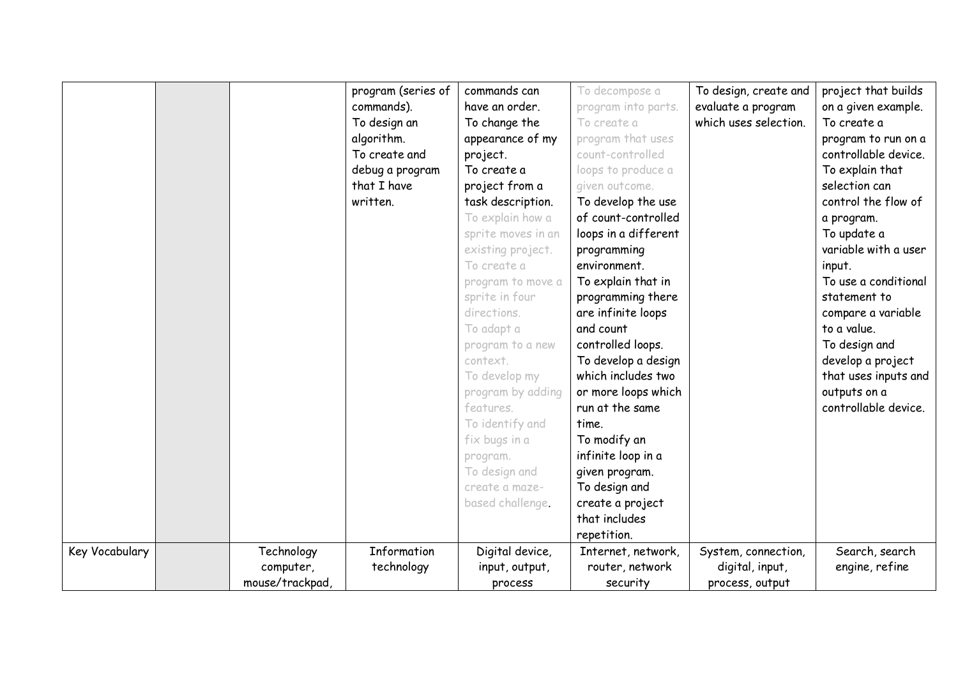|                |                              | program (series of<br>commands).<br>To design an<br>algorithm.<br>To create and<br>debug a program<br>that I have<br>written. | commands can<br>have an order.<br>To change the<br>appearance of my<br>project.<br>To create a<br>project from a<br>task description.<br>To explain how a<br>sprite moves in an<br>existing project.<br>To create a<br>program to move a<br>sprite in four<br>directions.<br>To adapt a<br>program to a new<br>context.<br>To develop my<br>program by adding<br>features.<br>To identify and<br>fix bugs in a<br>program.<br>To design and<br>create a maze-<br>based challenge. | To decompose a<br>program into parts.<br>To create a<br>program that uses<br>count-controlled<br>loops to produce a<br>given outcome.<br>To develop the use<br>of count-controlled<br>loops in a different<br>programming<br>environment.<br>To explain that in<br>programming there<br>are infinite loops<br>and count<br>controlled loops.<br>To develop a design<br>which includes two<br>or more loops which<br>run at the same<br>time.<br>To modify an<br>infinite loop in a<br>given program.<br>To design and<br>create a project<br>that includes<br>repetition. | To design, create and<br>evaluate a program<br>which uses selection. | project that builds<br>on a given example.<br>To create a<br>program to run on a<br>controllable device.<br>To explain that<br>selection can<br>control the flow of<br>a program.<br>To update a<br>variable with a user<br>input.<br>To use a conditional<br>statement to<br>compare a variable<br>to a value.<br>To design and<br>develop a project<br>that uses inputs and<br>outputs on a<br>controllable device. |
|----------------|------------------------------|-------------------------------------------------------------------------------------------------------------------------------|-----------------------------------------------------------------------------------------------------------------------------------------------------------------------------------------------------------------------------------------------------------------------------------------------------------------------------------------------------------------------------------------------------------------------------------------------------------------------------------|---------------------------------------------------------------------------------------------------------------------------------------------------------------------------------------------------------------------------------------------------------------------------------------------------------------------------------------------------------------------------------------------------------------------------------------------------------------------------------------------------------------------------------------------------------------------------|----------------------------------------------------------------------|-----------------------------------------------------------------------------------------------------------------------------------------------------------------------------------------------------------------------------------------------------------------------------------------------------------------------------------------------------------------------------------------------------------------------|
| Key Vocabulary | Technology                   | Information                                                                                                                   | Digital device,                                                                                                                                                                                                                                                                                                                                                                                                                                                                   | Internet, network,                                                                                                                                                                                                                                                                                                                                                                                                                                                                                                                                                        | System, connection,                                                  | Search, search                                                                                                                                                                                                                                                                                                                                                                                                        |
|                | computer,<br>mouse/trackpad, | technology                                                                                                                    | input, output,<br>process                                                                                                                                                                                                                                                                                                                                                                                                                                                         | router, network<br>security                                                                                                                                                                                                                                                                                                                                                                                                                                                                                                                                               | digital, input,<br>process, output                                   | engine, refine                                                                                                                                                                                                                                                                                                                                                                                                        |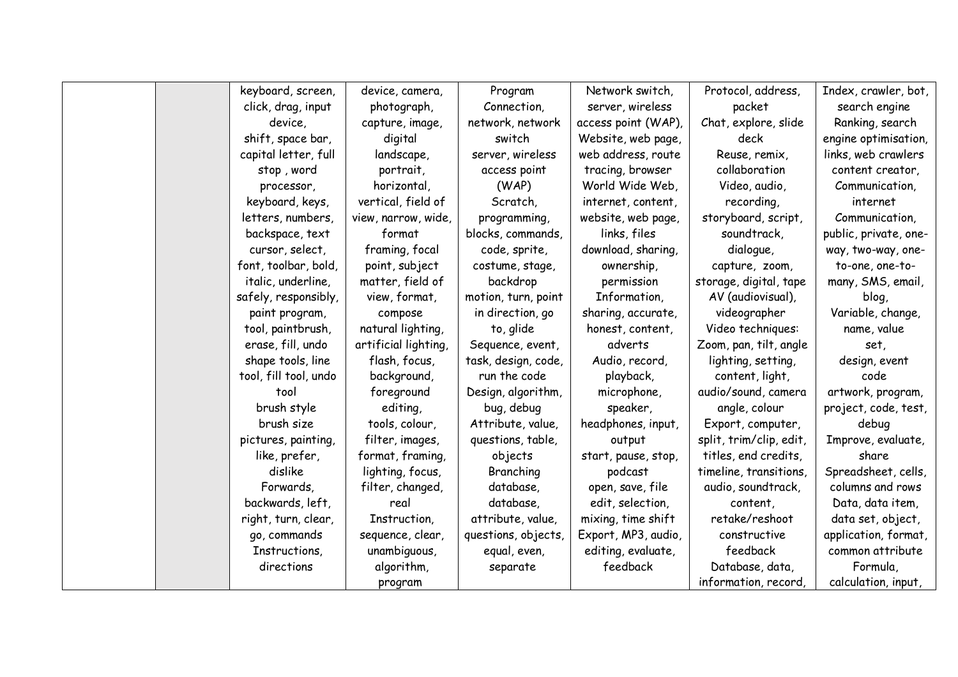|  | keyboard, screen,     | device, camera,      | Program             | Network switch,     | Protocol, address,      | Index, crawler, bot,  |
|--|-----------------------|----------------------|---------------------|---------------------|-------------------------|-----------------------|
|  | click, drag, input    | photograph,          | Connection,         | server, wireless    | packet                  | search engine         |
|  | device,               | capture, image,      | network, network    | access point (WAP), | Chat, explore, slide    | Ranking, search       |
|  | shift, space bar,     | digital              | switch              | Website, web page,  | deck                    | engine optimisation,  |
|  | capital letter, full  | landscape,           | server, wireless    | web address, route  | Reuse, remix,           | links, web crawlers   |
|  | stop, word            | portrait,            | access point        | tracing, browser    | collaboration           | content creator,      |
|  | processor,            | horizontal,          | (WAP)               | World Wide Web,     | Video, audio,           | Communication,        |
|  | keyboard, keys,       | vertical, field of   | Scratch,            | internet, content,  | recording,              | internet              |
|  | letters, numbers,     | view, narrow, wide,  | programming,        | website, web page,  | storyboard, script,     | Communication,        |
|  | backspace, text       | format               | blocks, commands,   | links, files        | soundtrack,             | public, private, one- |
|  | cursor, select,       | framing, focal       | code, sprite,       | download, sharing,  | dialogue,               | way, two-way, one-    |
|  | font, toolbar, bold,  | point, subject       | costume, stage,     | ownership,          | capture, zoom,          | to-one, one-to-       |
|  | italic, underline,    | matter, field of     | backdrop            | permission          | storage, digital, tape  | many, SMS, email,     |
|  | safely, responsibly,  | view, format,        | motion, turn, point | Information,        | AV (audiovisual),       | blog,                 |
|  | paint program,        | compose              | in direction, go    | sharing, accurate,  | videographer            | Variable, change,     |
|  | tool, paintbrush,     | natural lighting,    | to, glide           | honest, content,    | Video techniques:       | name, value           |
|  | erase, fill, undo     | artificial lighting, | Sequence, event,    | adverts             | Zoom, pan, tilt, angle  | set,                  |
|  | shape tools, line     | flash, focus,        | task, design, code, | Audio, record,      | lighting, setting,      | design, event         |
|  | tool, fill tool, undo | background,          | run the code        | playback,           | content, light,         | code                  |
|  | tool                  | foreground           | Design, algorithm,  | microphone,         | audio/sound, camera     | artwork, program,     |
|  | brush style           | editing,             | bug, debug          | speaker,            | angle, colour           | project, code, test,  |
|  | brush size            | tools, colour,       | Attribute, value,   | headphones, input,  | Export, computer,       | debug                 |
|  | pictures, painting,   | filter, images,      | questions, table,   | output              | split, trim/clip, edit, | Improve, evaluate,    |
|  | like, prefer,         | format, framing,     | objects             | start, pause, stop, | titles, end credits,    | share                 |
|  | dislike               | lighting, focus,     | Branching           | podcast             | timeline, transitions,  | Spreadsheet, cells,   |
|  | Forwards,             | filter, changed,     | database,           | open, save, file    | audio, soundtrack,      | columns and rows      |
|  | backwards, left,      | real                 | database,           | edit, selection,    | content,                | Data, data item,      |
|  | right, turn, clear,   | Instruction,         | attribute, value,   | mixing, time shift  | retake/reshoot          | data set, object,     |
|  | go, commands          | sequence, clear,     | questions, objects, | Export, MP3, audio, | constructive            | application, format,  |
|  | Instructions,         | unambiguous,         | equal, even,        | editing, evaluate,  | feedback                | common attribute      |
|  | directions            | algorithm,           | separate            | feedback            | Database, data,         | Formula,              |
|  |                       | program              |                     |                     | information, record,    | calculation, input,   |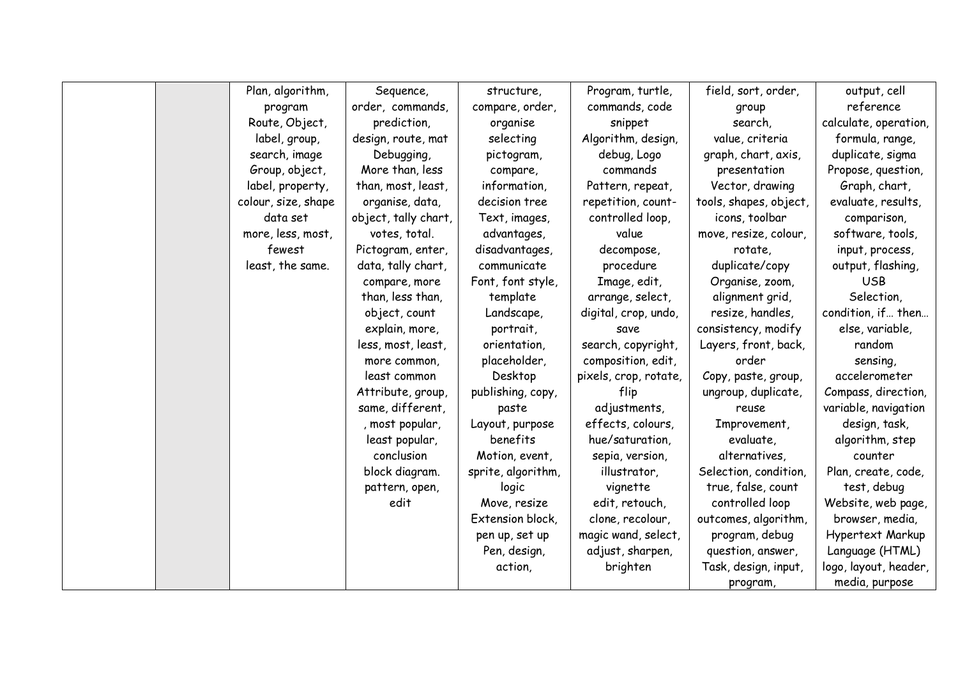|  | Plan, algorithm,    | Sequence,            | structure,         | Program, turtle,      | field, sort, order,    | output, cell          |
|--|---------------------|----------------------|--------------------|-----------------------|------------------------|-----------------------|
|  | program             | order, commands,     | compare, order,    | commands, code        | group                  | reference             |
|  | Route, Object,      | prediction,          | organise           | snippet               | search,                | calculate, operation, |
|  | label, group,       | design, route, mat   | selecting          | Algorithm, design,    | value, criteria        | formula, range,       |
|  | search, image       | Debugging,           | pictogram,         | debug, Logo           | graph, chart, axis,    | duplicate, sigma      |
|  | Group, object,      | More than, less      | compare,           | commands              | presentation           | Propose, question,    |
|  | label, property,    | than, most, least,   | information,       | Pattern, repeat,      | Vector, drawing        | Graph, chart,         |
|  | colour, size, shape | organise, data,      | decision tree      | repetition, count-    | tools, shapes, object, | evaluate, results,    |
|  | data set            | object, tally chart, | Text, images,      | controlled loop,      | icons, toolbar         | comparison,           |
|  | more, less, most,   | votes, total.        | advantages,        | value                 | move, resize, colour,  | software, tools,      |
|  | fewest              | Pictogram, enter,    | disadvantages,     | decompose,            | rotate,                | input, process,       |
|  | least, the same.    | data, tally chart,   | communicate        | procedure             | duplicate/copy         | output, flashing,     |
|  |                     | compare, more        | Font, font style,  | Image, edit,          | Organise, zoom,        | <b>USB</b>            |
|  |                     | than, less than,     | template           | arrange, select,      | alignment grid,        | Selection,            |
|  |                     | object, count        | Landscape,         | digital, crop, undo,  | resize, handles,       | condition, if then    |
|  |                     | explain, more,       | portrait,          | save                  | consistency, modify    | else, variable,       |
|  |                     | less, most, least,   | orientation,       | search, copyright,    | Layers, front, back,   | random                |
|  |                     | more common,         | placeholder,       | composition, edit,    | order                  | sensing,              |
|  |                     | least common         | Desktop            | pixels, crop, rotate, | Copy, paste, group,    | accelerometer         |
|  |                     | Attribute, group,    | publishing, copy,  | flip                  | ungroup, duplicate,    | Compass, direction,   |
|  |                     | same, different,     | paste              | adjustments,          | reuse                  | variable, navigation  |
|  |                     | , most popular,      | Layout, purpose    | effects, colours,     | Improvement,           | design, task,         |
|  |                     | least popular,       | benefits           | hue/saturation,       | evaluate,              | algorithm, step       |
|  |                     | conclusion           | Motion, event,     | sepia, version,       | alternatives,          | counter               |
|  |                     | block diagram.       | sprite, algorithm, | illustrator,          | Selection, condition,  | Plan, create, code,   |
|  |                     | pattern, open,       | logic              | vignette              | true, false, count     | test, debug           |
|  |                     | edit                 | Move, resize       | edit, retouch,        | controlled loop        | Website, web page,    |
|  |                     |                      | Extension block,   | clone, recolour,      | outcomes, algorithm,   | browser, media,       |
|  |                     |                      | pen up, set up     | magic wand, select,   | program, debug         | Hypertext Markup      |
|  |                     |                      | Pen, design,       | adjust, sharpen,      | question, answer,      | Language (HTML)       |
|  |                     |                      | action,            | brighten              | Task, design, input,   | logo, layout, header, |
|  |                     |                      |                    |                       | program,               | media, purpose        |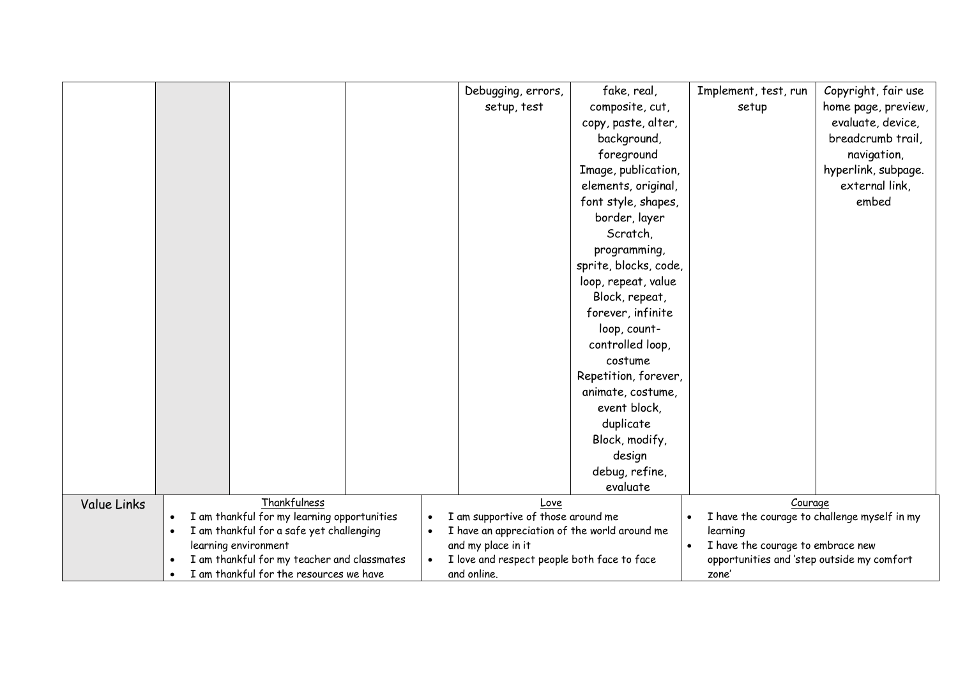|             |                                                                               |                                             |  |                                             | Debugging, errors,                                                  | fake, real,           | Implement, test, run                                       | Copyright, fair use |
|-------------|-------------------------------------------------------------------------------|---------------------------------------------|--|---------------------------------------------|---------------------------------------------------------------------|-----------------------|------------------------------------------------------------|---------------------|
|             |                                                                               |                                             |  |                                             | setup, test                                                         | composite, cut,       | setup                                                      | home page, preview, |
|             |                                                                               |                                             |  |                                             |                                                                     | copy, paste, alter,   |                                                            | evaluate, device,   |
|             |                                                                               |                                             |  |                                             |                                                                     | background,           |                                                            | breadcrumb trail,   |
|             |                                                                               |                                             |  |                                             |                                                                     | foreground            |                                                            | navigation,         |
|             |                                                                               |                                             |  |                                             |                                                                     | Image, publication,   |                                                            | hyperlink, subpage. |
|             |                                                                               |                                             |  |                                             |                                                                     | elements, original,   |                                                            | external link,      |
|             |                                                                               |                                             |  |                                             |                                                                     | font style, shapes,   |                                                            | embed               |
|             |                                                                               |                                             |  |                                             |                                                                     | border, layer         |                                                            |                     |
|             |                                                                               |                                             |  |                                             |                                                                     | Scratch,              |                                                            |                     |
|             |                                                                               |                                             |  |                                             |                                                                     | programming,          |                                                            |                     |
|             |                                                                               |                                             |  |                                             |                                                                     | sprite, blocks, code, |                                                            |                     |
|             |                                                                               |                                             |  |                                             |                                                                     | loop, repeat, value   |                                                            |                     |
|             |                                                                               |                                             |  |                                             |                                                                     | Block, repeat,        |                                                            |                     |
|             |                                                                               |                                             |  |                                             |                                                                     | forever, infinite     |                                                            |                     |
|             |                                                                               |                                             |  |                                             |                                                                     | loop, count-          |                                                            |                     |
|             |                                                                               |                                             |  |                                             |                                                                     | controlled loop,      |                                                            |                     |
|             |                                                                               |                                             |  |                                             |                                                                     | costume               |                                                            |                     |
|             |                                                                               |                                             |  |                                             |                                                                     | Repetition, forever,  |                                                            |                     |
|             |                                                                               |                                             |  |                                             |                                                                     | animate, costume,     |                                                            |                     |
|             |                                                                               |                                             |  |                                             |                                                                     | event block,          |                                                            |                     |
|             |                                                                               |                                             |  |                                             |                                                                     | duplicate             |                                                            |                     |
|             |                                                                               |                                             |  |                                             |                                                                     | Block, modify,        |                                                            |                     |
|             |                                                                               |                                             |  |                                             |                                                                     | design                |                                                            |                     |
|             |                                                                               |                                             |  |                                             |                                                                     | debug, refine,        |                                                            |                     |
|             |                                                                               |                                             |  |                                             |                                                                     | evaluate              |                                                            |                     |
| Value Links |                                                                               | Thankfulness                                |  |                                             | Love                                                                |                       | Courage                                                    |                     |
|             | $\bullet$                                                                     | I am thankful for my learning opportunities |  |                                             | I am supportive of those around me                                  |                       | I have the courage to challenge myself in my               |                     |
|             | I am thankful for a safe yet challenging<br>$\bullet$<br>learning environment |                                             |  | $\bullet$                                   | I have an appreciation of the world around me<br>and my place in it |                       | learning<br>I have the courage to embrace new<br>$\bullet$ |                     |
|             | I am thankful for my teacher and classmates                                   |                                             |  | I love and respect people both face to face |                                                                     |                       | opportunities and 'step outside my comfort                 |                     |
|             | $\bullet$                                                                     | I am thankful for the resources we have     |  | and online.                                 |                                                                     |                       | zone'                                                      |                     |